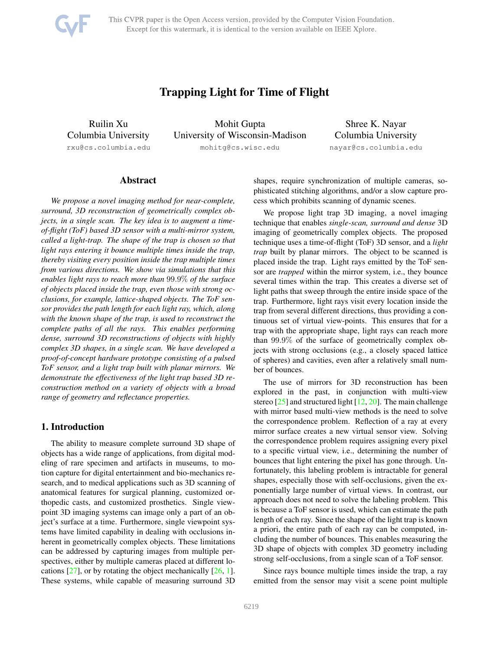<span id="page-0-1"></span>

This CVPR paper is the Open Access version, provided by the Computer Vision Foundation. Except for this watermark, it is identical to the version available on IEEE Xplore.

# Trapping Light for Time of Flight

Ruilin Xu Columbia University rxu@cs.columbia.edu

Mohit Gupta University of Wisconsin-Madison mohitg@cs.wisc.edu

Shree K. Nayar Columbia University nayar@cs.columbia.edu

# Abstract

*We propose a novel imaging method for near-complete, surround, 3D reconstruction of geometrically complex objects, in a single scan. The key idea is to augment a timeof-flight (ToF) based 3D sensor with a multi-mirror system, called a light-trap. The shape of the trap is chosen so that light rays entering it bounce multiple times inside the trap, thereby visiting every position inside the trap multiple times from various directions. We show via simulations that this enables light rays to reach more than* 99.9% *of the surface of objects placed inside the trap, even those with strong occlusions, for example, lattice-shaped objects. The ToF sensor provides the path length for each light ray, which, along with the known shape of the trap, is used to reconstruct the complete paths of all the rays. This enables performing dense, surround 3D reconstructions of objects with highly complex 3D shapes, in a single scan. We have developed a proof-of-concept hardware prototype consisting of a pulsed ToF sensor, and a light trap built with planar mirrors. We demonstrate the effectiveness of the light trap based 3D reconstruction method on a variety of objects with a broad range of geometry and reflectance properties.*

### <span id="page-0-0"></span>1. Introduction

The ability to measure complete surround 3D shape of objects has a wide range of applications, from digital modeling of rare specimen and artifacts in museums, to motion capture for digital entertainment and bio-mechanics research, and to medical applications such as 3D scanning of anatomical features for surgical planning, customized orthopedic casts, and customized prosthetics. Single viewpoint 3D imaging systems can image only a part of an object's surface at a time. Furthermore, single viewpoint systems have limited capability in dealing with occlusions inherent in geometrically complex objects. These limitations can be addressed by capturing images from multiple perspectives, either by multiple cameras placed at different locations  $[27]$ , or by rotating the object mechanically  $[26, 1]$  $[26, 1]$  $[26, 1]$ . These systems, while capable of measuring surround 3D

shapes, require synchronization of multiple cameras, sophisticated stitching algorithms, and/or a slow capture process which prohibits scanning of dynamic scenes.

We propose light trap 3D imaging, a novel imaging technique that enables *single-scan, surround and dense* 3D imaging of geometrically complex objects. The proposed technique uses a time-of-flight (ToF) 3D sensor, and a *light trap* built by planar mirrors. The object to be scanned is placed inside the trap. Light rays emitted by the ToF sensor are *trapped* within the mirror system, i.e., they bounce several times within the trap. This creates a diverse set of light paths that sweep through the entire inside space of the trap. Furthermore, light rays visit every location inside the trap from several different directions, thus providing a continuous set of virtual view-points. This ensures that for a trap with the appropriate shape, light rays can reach more than 99.9% of the surface of geometrically complex objects with strong occlusions (e.g., a closely spaced lattice of spheres) and cavities, even after a relatively small number of bounces.

The use of mirrors for 3D reconstruction has been explored in the past, in conjunction with multi-view stereo [\[25\]](#page-8-3) and structured light [\[12,](#page-8-4) [20\]](#page-8-5). The main challenge with mirror based multi-view methods is the need to solve the correspondence problem. Reflection of a ray at every mirror surface creates a new virtual sensor view. Solving the correspondence problem requires assigning every pixel to a specific virtual view, i.e., determining the number of bounces that light entering the pixel has gone through. Unfortunately, this labeling problem is intractable for general shapes, especially those with self-occlusions, given the exponentially large number of virtual views. In contrast, our approach does not need to solve the labeling problem. This is because a ToF sensor is used, which can estimate the path length of each ray. Since the shape of the light trap is known a priori, the entire path of each ray can be computed, including the number of bounces. This enables measuring the 3D shape of objects with complex 3D geometry including strong self-occlusions, from a single scan of a ToF sensor.

Since rays bounce multiple times inside the trap, a ray emitted from the sensor may visit a scene point multiple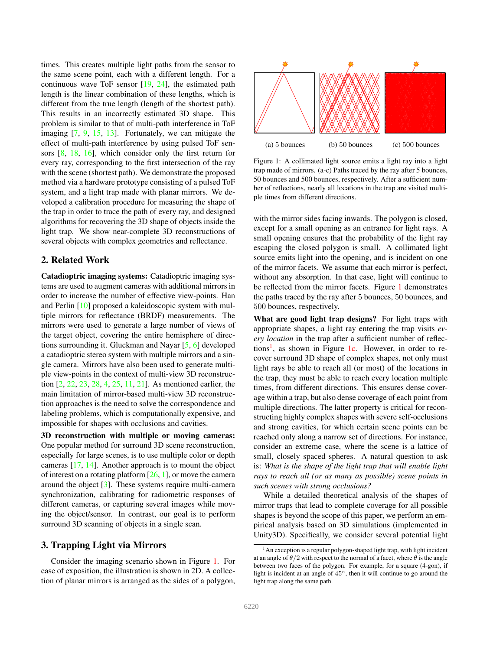<span id="page-1-3"></span>times. This creates multiple light paths from the sensor to the same scene point, each with a different length. For a continuous wave ToF sensor [\[19,](#page-8-6) [24\]](#page-8-7), the estimated path length is the linear combination of these lengths, which is different from the true length (length of the shortest path). This results in an incorrectly estimated 3D shape. This problem is similar to that of multi-path interference in ToF imaging [\[7,](#page-8-8) [9,](#page-8-9) [15,](#page-8-10) [13\]](#page-8-11). Fortunately, we can mitigate the effect of multi-path interference by using pulsed ToF sensors [\[8,](#page-8-12) [18,](#page-8-13) [16\]](#page-8-14), which consider only the first return for every ray, corresponding to the first intersection of the ray with the scene (shortest path). We demonstrate the proposed method via a hardware prototype consisting of a pulsed ToF system, and a light trap made with planar mirrors. We developed a calibration procedure for measuring the shape of the trap in order to trace the path of every ray, and designed algorithms for recovering the 3D shape of objects inside the light trap. We show near-complete 3D reconstructions of several objects with complex geometries and reflectance.

# 2. Related Work

Catadioptric imaging systems: Catadioptric imaging systems are used to augment cameras with additional mirrors in order to increase the number of effective view-points. Han and Perlin [\[10\]](#page-8-15) proposed a kaleidoscopic system with multiple mirrors for reflectance (BRDF) measurements. The mirrors were used to generate a large number of views of the target object, covering the entire hemisphere of directions surrounding it. Gluckman and Nayar [\[5,](#page-8-16) [6\]](#page-8-17) developed a catadioptric stereo system with multiple mirrors and a single camera. Mirrors have also been used to generate multiple view-points in the context of multi-view 3D reconstruction [\[2,](#page-8-18) [22,](#page-8-19) [23,](#page-8-20) [28,](#page-8-21) [4,](#page-8-22) [25,](#page-8-3) [11,](#page-8-23) [21\]](#page-8-24). As mentioned earlier, the main limitation of mirror-based multi-view 3D reconstruction approaches is the need to solve the correspondence and labeling problems, which is computationally expensive, and impossible for shapes with occlusions and cavities.

3D reconstruction with multiple or moving cameras: One popular method for surround 3D scene reconstruction, especially for large scenes, is to use multiple color or depth cameras [\[17,](#page-8-25) [14\]](#page-8-26). Another approach is to mount the object of interest on a rotating platform  $[26, 1]$  $[26, 1]$ , or move the camera around the object [\[3\]](#page-8-27). These systems require multi-camera synchronization, calibrating for radiometric responses of different cameras, or capturing several images while moving the object/sensor. In contrast, our goal is to perform surround 3D scanning of objects in a single scan.

# <span id="page-1-2"></span>3. Trapping Light via Mirrors

Consider the imaging scenario shown in Figure [1.](#page-1-0) For ease of exposition, the illustration is shown in 2D. A collection of planar mirrors is arranged as the sides of a polygon,

<span id="page-1-0"></span>

Figure 1: A collimated light source emits a light ray into a light trap made of mirrors. (a-c) Paths traced by the ray after 5 bounces, 50 bounces and 500 bounces, respectively. After a sufficient number of reflections, nearly all locations in the trap are visited multiple times from different directions.

with the mirror sides facing inwards. The polygon is closed, except for a small opening as an entrance for light rays. A small opening ensures that the probability of the light ray escaping the closed polygon is small. A collimated light source emits light into the opening, and is incident on one of the mirror facets. We assume that each mirror is perfect, without any absorption. In that case, light will continue to be reflected from the mirror facets. Figure [1](#page-1-0) demonstrates the paths traced by the ray after 5 bounces, 50 bounces, and 500 bounces, respectively.

What are good light trap designs? For light traps with appropriate shapes, a light ray entering the trap visits *every location* in the trap after a sufficient number of reflec-tions<sup>[1](#page-1-1)</sup>, as shown in Figure [1c.](#page-1-0) However, in order to recover surround 3D shape of complex shapes, not only must light rays be able to reach all (or most) of the locations in the trap, they must be able to reach every location multiple times, from different directions. This ensures dense coverage within a trap, but also dense coverage of each point from multiple directions. The latter property is critical for reconstructing highly complex shapes with severe self-occlusions and strong cavities, for which certain scene points can be reached only along a narrow set of directions. For instance, consider an extreme case, where the scene is a lattice of small, closely spaced spheres. A natural question to ask is: *What is the shape of the light trap that will enable light rays to reach all (or as many as possible) scene points in such scenes with strong occlusions?*

While a detailed theoretical analysis of the shapes of mirror traps that lead to complete coverage for all possible shapes is beyond the scope of this paper, we perform an empirical analysis based on 3D simulations (implemented in Unity3D). Specifically, we consider several potential light

<span id="page-1-1"></span> $<sup>1</sup>$ An exception is a regular polygon-shaped light trap, with light incident</sup> at an angle of  $\theta/2$  with respect to the normal of a facet, where  $\theta$  is the angle between two faces of the polygon. For example, for a square (4-gon), if light is incident at an angle of 45◦, then it will continue to go around the light trap along the same path.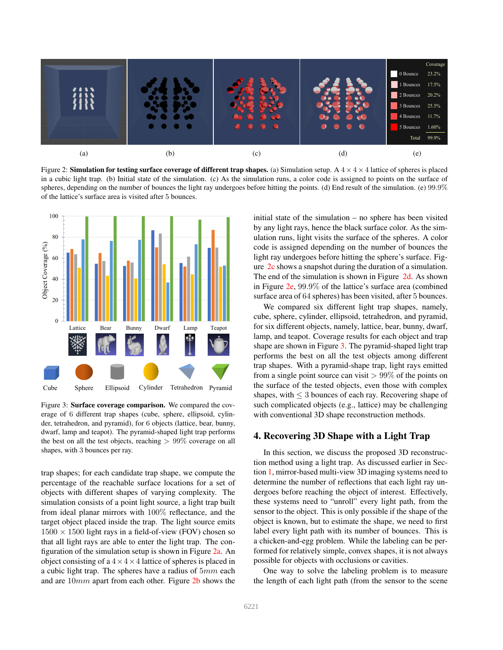<span id="page-2-0"></span>

Figure 2: Simulation for testing surface coverage of different trap shapes. (a) Simulation setup. A  $4 \times 4 \times 4$  lattice of spheres is placed in a cubic light trap. (b) Initial state of the simulation. (c) As the simulation runs, a color code is assigned to points on the surface of spheres, depending on the number of bounces the light ray undergoes before hitting the points. (d) End result of the simulation. (e) 99.9% of the lattice's surface area is visited after 5 bounces.

<span id="page-2-1"></span>

Figure 3: Surface coverage comparison. We compared the coverage of 6 different trap shapes (cube, sphere, ellipsoid, cylinder, tetrahedron, and pyramid), for 6 objects (lattice, bear, bunny, dwarf, lamp and teapot). The pyramid-shaped light trap performs the best on all the test objects, reaching  $> 99\%$  coverage on all shapes, with 3 bounces per ray.

trap shapes; for each candidate trap shape, we compute the percentage of the reachable surface locations for a set of objects with different shapes of varying complexity. The simulation consists of a point light source, a light trap built from ideal planar mirrors with 100% reflectance, and the target object placed inside the trap. The light source emits  $1500 \times 1500$  light rays in a field-of-view (FOV) chosen so that all light rays are able to enter the light trap. The configuration of the simulation setup is shown in Figure [2a.](#page-2-0) An object consisting of a  $4 \times 4 \times 4$  lattice of spheres is placed in a cubic light trap. The spheres have a radius of  $5mm$  each and are 10mm apart from each other. Figure [2b](#page-2-0) shows the initial state of the simulation – no sphere has been visited by any light rays, hence the black surface color. As the simulation runs, light visits the surface of the spheres. A color code is assigned depending on the number of bounces the light ray undergoes before hitting the sphere's surface. Figure [2c](#page-2-0) shows a snapshot during the duration of a simulation. The end of the simulation is shown in Figure [2d.](#page-2-0) As shown in Figure [2e,](#page-2-0) 99.9% of the lattice's surface area (combined surface area of 64 spheres) has been visited, after 5 bounces.

We compared six different light trap shapes, namely, cube, sphere, cylinder, ellipsoid, tetrahedron, and pyramid, for six different objects, namely, lattice, bear, bunny, dwarf, lamp, and teapot. Coverage results for each object and trap shape are shown in Figure [3.](#page-2-1) The pyramid-shaped light trap performs the best on all the test objects among different trap shapes. With a pyramid-shape trap, light rays emitted from a single point source can visit  $> 99\%$  of the points on the surface of the tested objects, even those with complex shapes, with  $\leq$  3 bounces of each ray. Recovering shape of such complicated objects (e.g., lattice) may be challenging with conventional 3D shape reconstruction methods.

# 4. Recovering 3D Shape with a Light Trap

In this section, we discuss the proposed 3D reconstruction method using a light trap. As discussed earlier in Section [1,](#page-0-0) mirror-based multi-view 3D imaging systems need to determine the number of reflections that each light ray undergoes before reaching the object of interest. Effectively, these systems need to "unroll" every light path, from the sensor to the object. This is only possible if the shape of the object is known, but to estimate the shape, we need to first label every light path with its number of bounces. This is a chicken-and-egg problem. While the labeling can be performed for relatively simple, convex shapes, it is not always possible for objects with occlusions or cavities.

One way to solve the labeling problem is to measure the length of each light path (from the sensor to the scene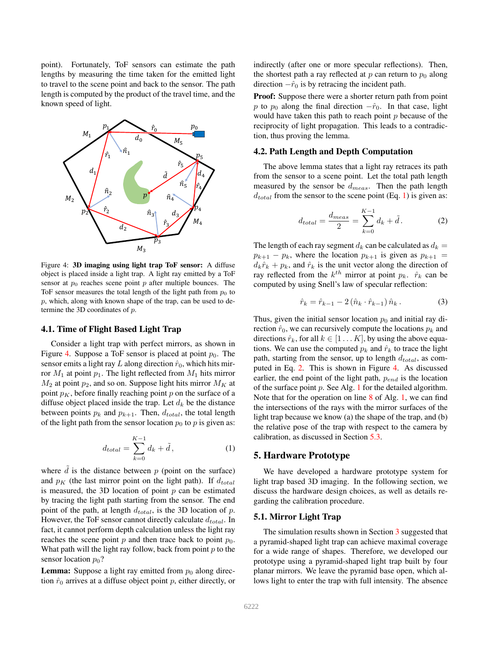point). Fortunately, ToF sensors can estimate the path lengths by measuring the time taken for the emitted light to travel to the scene point and back to the sensor. The path length is computed by the product of the travel time, and the known speed of light.

<span id="page-3-0"></span>

Figure 4: 3D imaging using light trap ToF sensor: A diffuse object is placed inside a light trap. A light ray emitted by a ToF sensor at  $p_0$  reaches scene point  $p$  after multiple bounces. The ToF sensor measures the total length of the light path from  $p_0$  to  $p$ , which, along with known shape of the trap, can be used to determine the 3D coordinates of p.

#### 4.1. Time of Flight Based Light Trap

Consider a light trap with perfect mirrors, as shown in Figure [4.](#page-3-0) Suppose a ToF sensor is placed at point  $p_0$ . The sensor emits a light ray L along direction  $\hat{r}_0$ , which hits mirror  $M_1$  at point  $p_1$ . The light reflected from  $M_1$  hits mirror  $M_2$  at point  $p_2$ , and so on. Suppose light hits mirror  $M_K$  at point  $p<sub>K</sub>$ , before finally reaching point p on the surface of a diffuse object placed inside the trap. Let  $d_k$  be the distance between points  $p_k$  and  $p_{k+1}$ . Then,  $d_{total}$ , the total length of the light path from the sensor location  $p_0$  to p is given as:

<span id="page-3-1"></span>
$$
d_{total} = \sum_{k=0}^{K-1} d_k + \tilde{d}, \qquad (1)
$$

where  $\tilde{d}$  is the distance between p (point on the surface) and  $p<sub>K</sub>$  (the last mirror point on the light path). If  $d<sub>total</sub>$ is measured, the 3D location of point  $p$  can be estimated by tracing the light path starting from the sensor. The end point of the path, at length  $d_{total}$ , is the 3D location of p. However, the ToF sensor cannot directly calculate  $d_{total}$ . In fact, it cannot perform depth calculation unless the light ray reaches the scene point p and then trace back to point  $p_0$ . What path will the light ray follow, back from point  $p$  to the sensor location  $p_0$ ?

**Lemma:** Suppose a light ray emitted from  $p_0$  along direction  $\hat{r}_0$  arrives at a diffuse object point p, either directly, or indirectly (after one or more specular reflections). Then, the shortest path a ray reflected at  $p$  can return to  $p_0$  along direction  $-\hat{r}_0$  is by retracing the incident path.

**Proof:** Suppose there were a shorter return path from point p to  $p_0$  along the final direction  $-\hat{r}_0$ . In that case, light would have taken this path to reach point  $p$  because of the reciprocity of light propagation. This leads to a contradiction, thus proving the lemma.

#### 4.2. Path Length and Depth Computation

The above lemma states that a light ray retraces its path from the sensor to a scene point. Let the total path length measured by the sensor be  $d_{meas}$ . Then the path length  $d_{total}$  from the sensor to the scene point (Eq. [1\)](#page-3-1) is given as:

<span id="page-3-2"></span>
$$
d_{total} = \frac{d_{meas}}{2} = \sum_{k=0}^{K-1} d_k + \tilde{d}.
$$
 (2)

The length of each ray segment  $d_k$  can be calculated as  $d_k =$  $p_{k+1} - p_k$ , where the location  $p_{k+1}$  is given as  $p_{k+1} =$  $d_k\hat{r}_k + p_k$ , and  $\hat{r}_k$  is the unit vector along the direction of ray reflected from the  $k^{th}$  mirror at point  $p_k$ .  $\hat{r}_k$  can be computed by using Snell's law of specular reflection:

$$
\hat{r}_k = \hat{r}_{k-1} - 2(\hat{n}_k \cdot \hat{r}_{k-1})\,\hat{n}_k \,. \tag{3}
$$

Thus, given the initial sensor location  $p_0$  and initial ray direction  $\hat{r}_0$ , we can recursively compute the locations  $p_k$  and directions  $\hat{r}_k$ , for all  $k \in [1 \dots K]$ , by using the above equations. We can use the computed  $p_k$  and  $\hat{r}_k$  to trace the light path, starting from the sensor, up to length  $d_{total}$ , as computed in Eq. [2.](#page-3-2) This is shown in Figure [4.](#page-3-0) As discussed earlier, the end point of the light path,  $p_{end}$  is the location of the surface point  $p$ . See Alg. [1](#page-4-0) for the detailed algorithm. Note that for the operation on line [8](#page-4-0) of Alg. [1,](#page-4-0) we can find the intersections of the rays with the mirror surfaces of the light trap because we know (a) the shape of the trap, and (b) the relative pose of the trap with respect to the camera by calibration, as discussed in Section [5.3.](#page-4-1)

### 5. Hardware Prototype

We have developed a hardware prototype system for light trap based 3D imaging. In the following section, we discuss the hardware design choices, as well as details regarding the calibration procedure.

#### 5.1. Mirror Light Trap

The simulation results shown in Section [3](#page-1-2) suggested that a pyramid-shaped light trap can achieve maximal coverage for a wide range of shapes. Therefore, we developed our prototype using a pyramid-shaped light trap built by four planar mirrors. We leave the pyramid base open, which allows light to enter the trap with full intensity. The absence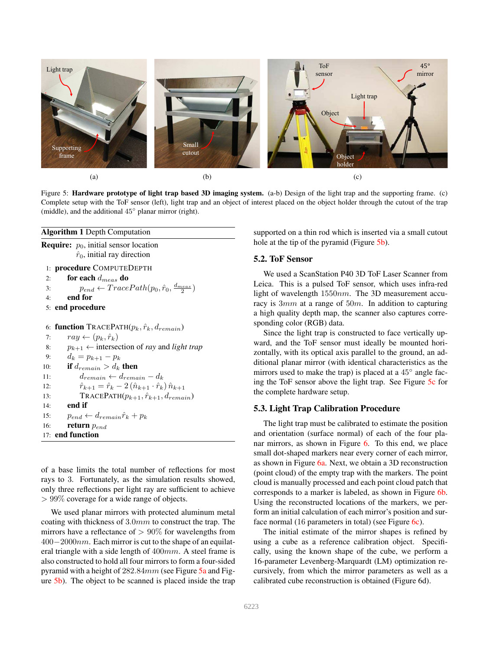<span id="page-4-2"></span>

Figure 5: Hardware prototype of light trap based 3D imaging system. (a-b) Design of the light trap and the supporting frame. (c) Complete setup with the ToF sensor (left), light trap and an object of interest placed on the object holder through the cutout of the trap (middle), and the additional 45◦ planar mirror (right).

#### <span id="page-4-0"></span>Algorithm 1 Depth Computation

```
Require: p_0, initial sensor location
            \hat{r}_0, initial ray direction
```

```
1: procedure COMPUTEDEPTH
```

```
2: for each d_{meas} do
```

```
3: p_{end} \leftarrow TracePath(p_0, \hat{r}_0, \frac{d_{meas}}{2})4: end for
5: end procedure
```

```
6: function TRACEPATH(p_k, \hat{r}_k, d_{remain})7: ray \leftarrow (p_k, \hat{r}_k)8: p_{k+1} \leftarrow intersection of ray and light trap
9: d_k = p_{k+1} - p_k10: if d_{remain} > d_k then
11: d_{remain} \leftarrow d_{remain} - d_k12: \hat{r}_{k+1} = \hat{r}_k - 2 (\hat{n}_{k+1} \cdot \hat{r}_k) \hat{n}_{k+1}13: TRACEPATH(p_{k+1}, \hat{r}_{k+1}, d_{remain})14: end if
15: p_{end} \leftarrow d_{remain} \hat{r}_k + p_k
```
16: **return**  $p_{end}$ 17: end function

of a base limits the total number of reflections for most rays to 3. Fortunately, as the simulation results showed, only three reflections per light ray are sufficient to achieve > 99% coverage for a wide range of objects.

We used planar mirrors with protected aluminum metal coating with thickness of 3.0mm to construct the trap. The mirrors have a reflectance of  $> 90\%$  for wavelengths from  $400-2000nm$ . Each mirror is cut to the shape of an equilateral triangle with a side length of 400mm. A steel frame is also constructed to hold all four mirrors to form a four-sided pyramid with a height of 282.84mm (see Figure [5a](#page-4-2) and Figure [5b\)](#page-4-2). The object to be scanned is placed inside the trap supported on a thin rod which is inserted via a small cutout hole at the tip of the pyramid (Figure [5b\)](#page-4-2).

### 5.2. ToF Sensor

We used a ScanStation P40 3D ToF Laser Scanner from Leica. This is a pulsed ToF sensor, which uses infra-red light of wavelength 1550nm. The 3D measurement accuracy is  $3mm$  at a range of  $50m$ . In addition to capturing a high quality depth map, the scanner also captures corresponding color (RGB) data.

Since the light trap is constructed to face vertically upward, and the ToF sensor must ideally be mounted horizontally, with its optical axis parallel to the ground, an additional planar mirror (with identical characteristics as the mirrors used to make the trap) is placed at a 45° angle facing the ToF sensor above the light trap. See Figure [5c](#page-4-2) for the complete hardware setup.

## <span id="page-4-1"></span>5.3. Light Trap Calibration Procedure

The light trap must be calibrated to estimate the position and orientation (surface normal) of each of the four planar mirrors, as shown in Figure [6.](#page-5-0) To this end, we place small dot-shaped markers near every corner of each mirror, as shown in Figure [6a.](#page-5-0) Next, we obtain a 3D reconstruction (point cloud) of the empty trap with the markers. The point cloud is manually processed and each point cloud patch that corresponds to a marker is labeled, as shown in Figure [6b.](#page-5-0) Using the reconstructed locations of the markers, we perform an initial calculation of each mirror's position and surface normal  $(16$  parameters in total) (see Figure [6c\)](#page-5-0).

The initial estimate of the mirror shapes is refined by using a cube as a reference calibration object. Specifically, using the known shape of the cube, we perform a 16-parameter Levenberg-Marquardt (LM) optimization recursively, from which the mirror parameters as well as a calibrated cube reconstruction is obtained (Figure 6d).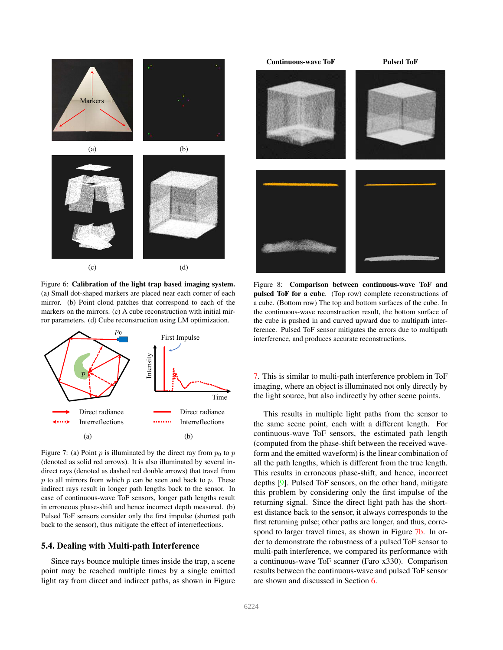<span id="page-5-4"></span><span id="page-5-0"></span>

Figure 6: Calibration of the light trap based imaging system. (a) Small dot-shaped markers are placed near each corner of each mirror. (b) Point cloud patches that correspond to each of the markers on the mirrors. (c) A cube reconstruction with initial mirror parameters. (d) Cube reconstruction using LM optimization.

<span id="page-5-1"></span>

Figure 7: (a) Point p is illuminated by the direct ray from  $p_0$  to p (denoted as solid red arrows). It is also illuminated by several indirect rays (denoted as dashed red double arrows) that travel from  $p$  to all mirrors from which  $p$  can be seen and back to  $p$ . These indirect rays result in longer path lengths back to the sensor. In case of continuous-wave ToF sensors, longer path lengths result in erroneous phase-shift and hence incorrect depth measured. (b) Pulsed ToF sensors consider only the first impulse (shortest path back to the sensor), thus mitigate the effect of interreflections.

# <span id="page-5-2"></span>5.4. Dealing with Multi-path Interference

Since rays bounce multiple times inside the trap, a scene point may be reached multiple times by a single emitted light ray from direct and indirect paths, as shown in Figure

<span id="page-5-3"></span>

Figure 8: Comparison between continuous-wave ToF and pulsed ToF for a cube. (Top row) complete reconstructions of a cube. (Bottom row) The top and bottom surfaces of the cube. In the continuous-wave reconstruction result, the bottom surface of the cube is pushed in and curved upward due to multipath interference. Pulsed ToF sensor mitigates the errors due to multipath interference, and produces accurate reconstructions.

[7.](#page-5-1) This is similar to multi-path interference problem in ToF imaging, where an object is illuminated not only directly by the light source, but also indirectly by other scene points.

This results in multiple light paths from the sensor to the same scene point, each with a different length. For continuous-wave ToF sensors, the estimated path length (computed from the phase-shift between the received waveform and the emitted waveform) is the linear combination of all the path lengths, which is different from the true length. This results in erroneous phase-shift, and hence, incorrect depths [\[9\]](#page-8-9). Pulsed ToF sensors, on the other hand, mitigate this problem by considering only the first impulse of the returning signal. Since the direct light path has the shortest distance back to the sensor, it always corresponds to the first returning pulse; other paths are longer, and thus, correspond to larger travel times, as shown in Figure [7b.](#page-5-1) In order to demonstrate the robustness of a pulsed ToF sensor to multi-path interference, we compared its performance with a continuous-wave ToF scanner (Faro x330). Comparison results between the continuous-wave and pulsed ToF sensor are shown and discussed in Section [6.](#page-7-0)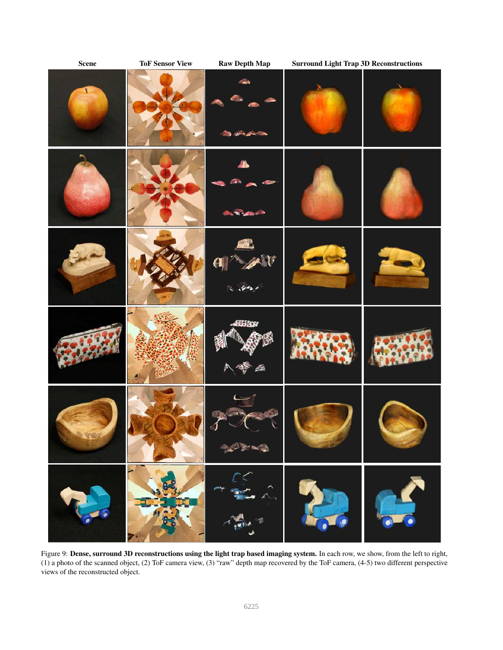<span id="page-6-0"></span>

Figure 9: Dense, surround 3D reconstructions using the light trap based imaging system. In each row, we show, from the left to right, (1) a photo of the scanned object, (2) ToF camera view, (3) "raw" depth map recovered by the ToF camera, (4-5) two different perspective views of the reconstructed object.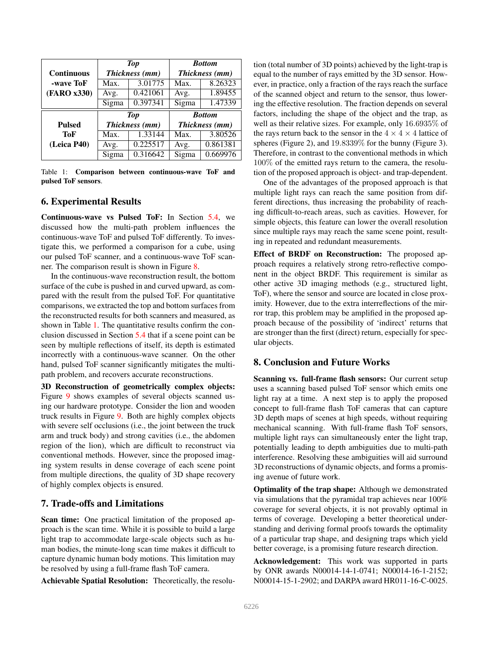<span id="page-7-1"></span>

|                   | <b>Top</b>     |                | <b>Bottom</b>  |                |
|-------------------|----------------|----------------|----------------|----------------|
| <b>Continuous</b> | Thickness (mm) |                | Thickness (mm) |                |
| -wave ToF         | Max.           | 3.01775        | Max.           | 8.26323        |
| (FARO x330)       | Avg.           | 0.421061       | Avg.           | 1.89455        |
|                   | Sigma          | 0.397341       | Sigma          | 1.47339        |
|                   |                |                |                |                |
|                   |                | <b>Top</b>     |                | <b>Bottom</b>  |
| <b>Pulsed</b>     |                | Thickness (mm) |                | Thickness (mm) |
| ToF               | Max.           | 1.33144        | Max.           | 3.80526        |
| (Leica P40)       | Avg.           | 0.225517       | Avg.           | 0.861381       |

Table 1: Comparison between continuous-wave ToF and pulsed ToF sensors.

# <span id="page-7-0"></span>6. Experimental Results

Continuous-wave vs Pulsed ToF: In Section [5.4,](#page-5-2) we discussed how the multi-path problem influences the continuous-wave ToF and pulsed ToF differently. To investigate this, we performed a comparison for a cube, using our pulsed ToF scanner, and a continuous-wave ToF scanner. The comparison result is shown in Figure [8.](#page-5-3)

In the continuous-wave reconstruction result, the bottom surface of the cube is pushed in and curved upward, as compared with the result from the pulsed ToF. For quantitative comparisons, we extracted the top and bottom surfaces from the reconstructed results for both scanners and measured, as shown in Table [1.](#page-7-1) The quantitative results confirm the conclusion discussed in Section [5.4](#page-5-2) that if a scene point can be seen by multiple reflections of itself, its depth is estimated incorrectly with a continuous-wave scanner. On the other hand, pulsed ToF scanner significantly mitigates the multipath problem, and recovers accurate reconstructions.

3D Reconstruction of geometrically complex objects: Figure [9](#page-6-0) shows examples of several objects scanned using our hardware prototype. Consider the lion and wooden truck results in Figure [9.](#page-6-0) Both are highly complex objects with severe self occlusions (i.e., the joint between the truck arm and truck body) and strong cavities (i.e., the abdomen region of the lion), which are difficult to reconstruct via conventional methods. However, since the proposed imaging system results in dense coverage of each scene point from multiple directions, the quality of 3D shape recovery of highly complex objects is ensured.

# 7. Trade-offs and Limitations

Scan time: One practical limitation of the proposed approach is the scan time. While it is possible to build a large light trap to accommodate large-scale objects such as human bodies, the minute-long scan time makes it difficult to capture dynamic human body motions. This limitation may be resolved by using a full-frame flash ToF camera.

Achievable Spatial Resolution: Theoretically, the resolu-

tion (total number of 3D points) achieved by the light-trap is equal to the number of rays emitted by the 3D sensor. However, in practice, only a fraction of the rays reach the surface of the scanned object and return to the sensor, thus lowering the effective resolution. The fraction depends on several factors, including the shape of the object and the trap, as well as their relative sizes. For example, only 16.6935% of the rays return back to the sensor in the  $4 \times 4 \times 4$  lattice of spheres (Figure 2), and 19.8339% for the bunny (Figure 3). Therefore, in contrast to the conventional methods in which 100% of the emitted rays return to the camera, the resolution of the proposed approach is object- and trap-dependent.

One of the advantages of the proposed approach is that multiple light rays can reach the same position from different directions, thus increasing the probability of reaching difficult-to-reach areas, such as cavities. However, for simple objects, this feature can lower the overall resolution since multiple rays may reach the same scene point, resulting in repeated and redundant measurements.

Effect of BRDF on Reconstruction: The proposed approach requires a relatively strong retro-reflective component in the object BRDF. This requirement is similar as other active 3D imaging methods (e.g., structured light, ToF), where the sensor and source are located in close proximity. However, due to the extra interreflections of the mirror trap, this problem may be amplified in the proposed approach because of the possibility of 'indirect' returns that are stronger than the first (direct) return, especially for specular objects.

# 8. Conclusion and Future Works

Scanning vs. full-frame flash sensors: Our current setup uses a scanning based pulsed ToF sensor which emits one light ray at a time. A next step is to apply the proposed concept to full-frame flash ToF cameras that can capture 3D depth maps of scenes at high speeds, without requiring mechanical scanning. With full-frame flash ToF sensors, multiple light rays can simultaneously enter the light trap, potentially leading to depth ambiguities due to multi-path interference. Resolving these ambiguities will aid surround 3D reconstructions of dynamic objects, and forms a promising avenue of future work.

Optimality of the trap shape: Although we demonstrated via simulations that the pyramidal trap achieves near 100% coverage for several objects, it is not provably optimal in terms of coverage. Developing a better theoretical understanding and deriving formal proofs towards the optimality of a particular trap shape, and designing traps which yield better coverage, is a promising future research direction.

Acknowledgement: This work was supported in parts by ONR awards N00014-14-1-0741; N00014-16-1-2152; N00014-15-1-2902; and DARPA award HR011-16-C-0025.